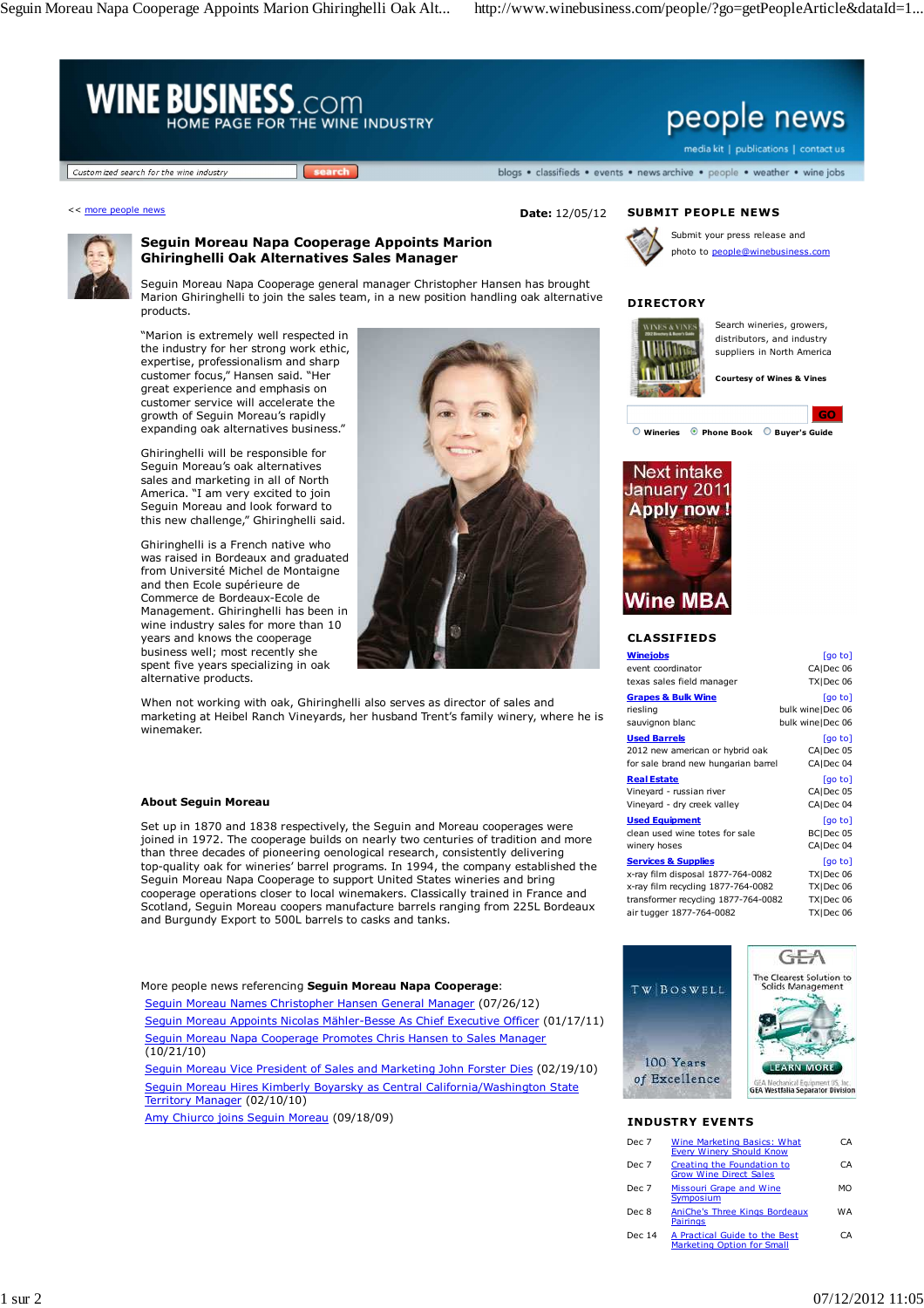Seguin Moreau Napa Cooperage Appoints Marion Ghiringhelli Oak Alt... http://www.winebusiness.com/people/?go=getPeopleArticle&dataId=1...





## **Seguin Moreau Napa Cooperage Appoints Marion Ghiringhelli Oak Alternatives Sales Manager**

Seguin Moreau Napa Cooperage general manager Christopher Hansen has brought Marion Ghiringhelli to join the sales team, in a new position handling oak alternative products.

"Marion is extremely well respected in the industry for her strong work ethic, expertise, professionalism and sharp customer focus," Hansen said. "Her great experience and emphasis on customer service will accelerate the growth of Seguin Moreau's rapidly expanding oak alternatives business."

Ghiringhelli will be responsible for Seguin Moreau's oak alternatives sales and marketing in all of North America. "I am very excited to join Seguin Moreau and look forward to this new challenge," Ghiringhelli said.

Ghiringhelli is a French native who was raised in Bordeaux and graduated from Université Michel de Montaigne and then Ecole supérieure de Commerce de Bordeaux-Ecole de Management. Ghiringhelli has been in wine industry sales for more than 10 years and knows the cooperage business well; most recently she spent five years specializing in oak alternative products.



When not working with oak, Ghiringhelli also serves as director of sales and marketing at Heibel Ranch Vineyards, her husband Trent's family winery, where he is winemaker.

#### **About Seguin Moreau**

Set up in 1870 and 1838 respectively, the Seguin and Moreau cooperages were joined in 1972. The cooperage builds on nearly two centuries of tradition and more than three decades of pioneering oenological research, consistently delivering top-quality oak for wineries' barrel programs. In 1994, the company established the Seguin Moreau Napa Cooperage to support United States wineries and bring cooperage operations closer to local winemakers. Classically trained in France and Scotland, Seguin Moreau coopers manufacture barrels ranging from 225L Bordeaux and Burgundy Export to 500L barrels to casks and tanks.

More people news referencing **Seguin Moreau Napa Cooperage**:

Seguin Moreau Names Christopher Hansen General Manager (07/26/12) Seguin Moreau Appoints Nicolas Mähler-Besse As Chief Executive Officer (01/17/11) Seguin Moreau Napa Cooperage Promotes Chris Hansen to Sales Manager (10/21/10)

Seguin Moreau Vice President of Sales and Marketing John Forster Dies (02/19/10) Seguin Moreau Hires Kimberly Boyarsky as Central California/Washington State Territory Manager (02/10/10)

Amy Chiurco joins Seguin Moreau (09/18/09)



Submit your press release and photo to people@winebusiness.com

# **DIRECTORY**



Search wineries, growers, distributors, and industry suppliers in North America

**Courtesy of Wines & Vines**



**Wineries Phone Book Buyer's Guide**



# **CLASSIFIEDS**

| Winejobs                            | [go to]            |
|-------------------------------------|--------------------|
| event coordinator                   | CA Dec 06          |
| texas sales field manager           | TXIDec 06          |
| <b>Grapes &amp; Bulk Wine</b>       | [go to]            |
| riesling                            | bulk wine   Dec 06 |
| sauvignon blanc                     | bulk wine Dec 06   |
| <u>Used Barrels</u>                 | [go to]            |
| 2012 new american or hybrid oak     | CAIDec 05          |
| for sale brand new hungarian barrel | CAIDec 04          |
| <b>Real Estate</b>                  | [go to]            |
| Vineyard - russian river            | CAIDec 05          |
| Vineyard - dry creek valley         | CA Dec 04          |
| <b>Used Equipment</b>               | [go to]            |
| clean used wine totes for sale      | BCIDec 05          |
| winery hoses                        | CA Dec 04          |
| <u>Services &amp; Supplies</u>      | [go to]            |
| x-ray film disposal 1877-764-0082   | TXIDec 06          |
| x-ray film recycling 1877-764-0082  | TXIDec 06          |
|                                     |                    |

transformer recycling 1877-764-0082 TX|Dec 06<br>air tugger 1877-764-0082 TX|Dec 06  $air$  tugger 1877-764-0082



### **INDUSTRY EVENTS**

| Dec 7  | Wine Marketing Basics: What<br><b>Every Winery Should Know</b>     | CА  |
|--------|--------------------------------------------------------------------|-----|
| Dec 7  | Creating the Foundation to<br><b>Grow Wine Direct Sales</b>        | CΑ  |
| Dec 7  | Missouri Grape and Wine<br>Symposium                               | мω  |
| Dec 8  | AniChe's Three Kings Bordeaux<br><b>Pairings</b>                   | W A |
| Dec 14 | A Practical Guide to the Best<br><b>Marketing Option for Small</b> | CΑ  |